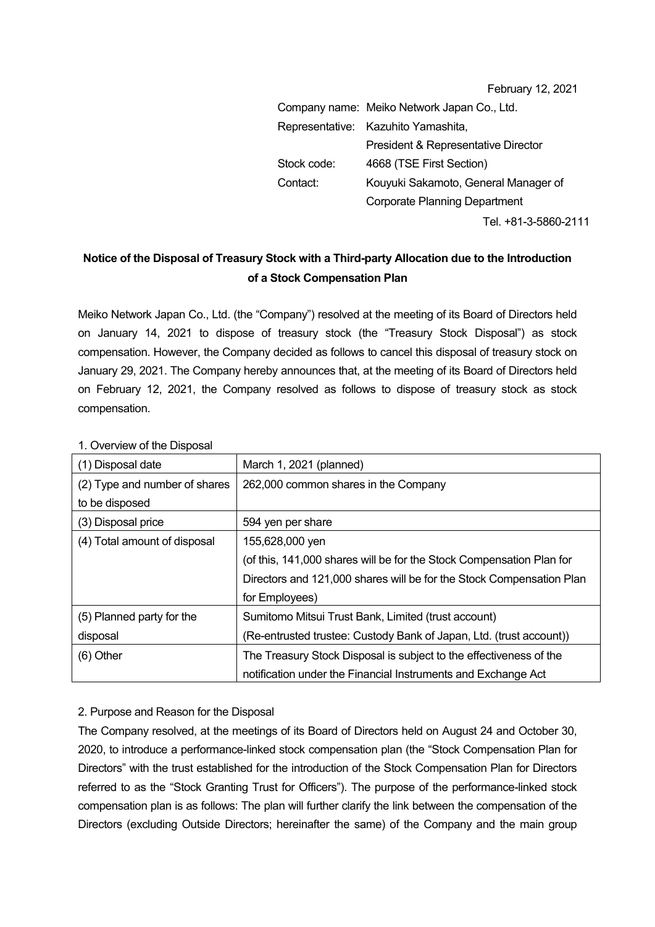| February 12, 2021 |  |  |
|-------------------|--|--|
|-------------------|--|--|

|             | Company name: Meiko Network Japan Co., Ltd. |
|-------------|---------------------------------------------|
|             | Representative: Kazuhito Yamashita,         |
|             | President & Representative Director         |
| Stock code: | 4668 (TSE First Section)                    |
| Contact:    | Kouyuki Sakamoto, General Manager of        |
|             | <b>Corporate Planning Department</b>        |
|             | Tel. +81-3-5860-2111                        |

## **Notice of the Disposal of Treasury Stock with a Third-party Allocation due to the Introduction of a Stock Compensation Plan**

Meiko Network Japan Co., Ltd. (the "Company") resolved at the meeting of its Board of Directors held on January 14, 2021 to dispose of treasury stock (the "Treasury Stock Disposal") as stock compensation. However, the Company decided as follows to cancel this disposal of treasury stock on January 29, 2021. The Company hereby announces that, at the meeting of its Board of Directors held on February 12, 2021, the Company resolved as follows to dispose of treasury stock as stock compensation.

| $\sim$ 0.000 0.000 0.000 0.000 0.000 0.000 0.000 0.000 0.000 0.000 0.000 0.000 0.000 0.000 0.000 0.000 0.000 0.00 |                                                                      |
|-------------------------------------------------------------------------------------------------------------------|----------------------------------------------------------------------|
| (1) Disposal date                                                                                                 | March 1, 2021 (planned)                                              |
| (2) Type and number of shares                                                                                     | 262,000 common shares in the Company                                 |
| to be disposed                                                                                                    |                                                                      |
| (3) Disposal price                                                                                                | 594 yen per share                                                    |
| (4) Total amount of disposal                                                                                      | 155,628,000 yen                                                      |
|                                                                                                                   | (of this, 141,000 shares will be for the Stock Compensation Plan for |
|                                                                                                                   | Directors and 121,000 shares will be for the Stock Compensation Plan |
|                                                                                                                   | for Employees)                                                       |
| (5) Planned party for the                                                                                         | Sumitomo Mitsui Trust Bank, Limited (trust account)                  |
| disposal                                                                                                          | (Re-entrusted trustee: Custody Bank of Japan, Ltd. (trust account))  |
| $(6)$ Other                                                                                                       | The Treasury Stock Disposal is subject to the effectiveness of the   |
|                                                                                                                   | notification under the Financial Instruments and Exchange Act        |

1. Overview of the Disposal

## 2. Purpose and Reason for the Disposal

The Company resolved, at the meetings of its Board of Directors held on August 24 and October 30, 2020, to introduce a performance-linked stock compensation plan (the "Stock Compensation Plan for Directors" with the trust established for the introduction of the Stock Compensation Plan for Directors referred to as the "Stock Granting Trust for Officers"). The purpose of the performance-linked stock compensation plan is as follows: The plan will further clarify the link between the compensation of the Directors (excluding Outside Directors; hereinafter the same) of the Company and the main group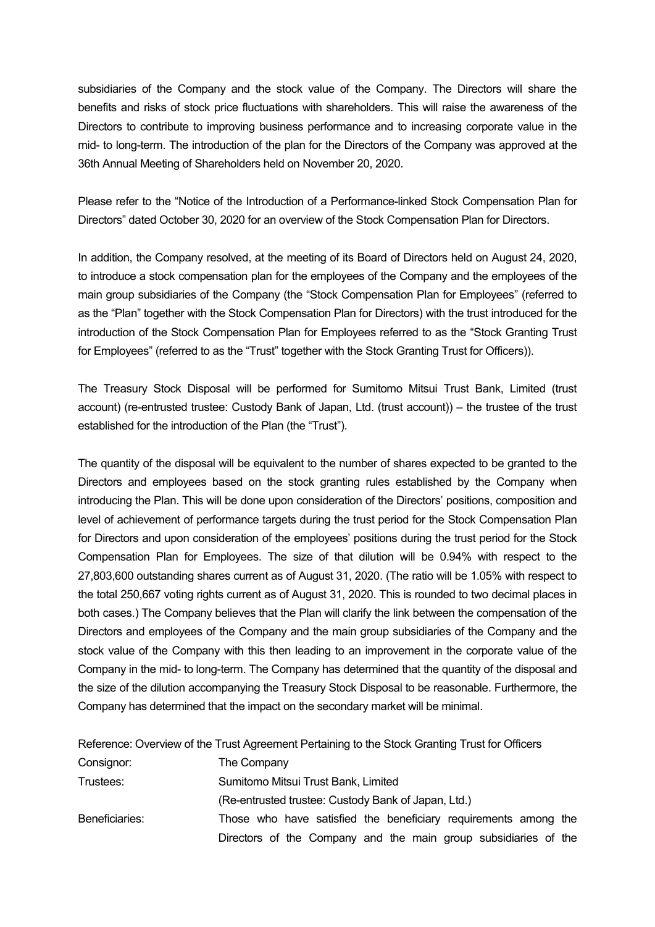subsidiaries of the Company and the stock value of the Company. The Directors will share the benefits and risks of stock price fluctuations with shareholders. This will raise the awareness of the Directors to contribute to improving business performance and to increasing corporate value in the mid- to long-term. The introduction of the plan for the Directors of the Company was approved at the 36th Annual Meeting of Shareholders held on November 20, 2020.

Please refer to the "Notice of the Introduction of a Performance-linked Stock Compensation Plan for Directors" dated October 30, 2020 for an overview of the Stock Compensation Plan for Directors.

In addition, the Company resolved, at the meeting of its Board of Directors held on August 24, 2020, to introduce a stock compensation plan for the employees of the Company and the employees of the main group subsidiaries of the Company (the "Stock Compensation Plan for Employees" (referred to as the "Plan" together with the Stock Compensation Plan for Directors) with the trust introduced for the introduction of the Stock Compensation Plan for Employees referred to as the "Stock Granting Trust for Employees" (referred to as the "Trust" together with the Stock Granting Trust for Officers)).

The Treasury Stock Disposal will be performed for Sumitomo Mitsui Trust Bank, Limited (trust account) (re-entrusted trustee: Custody Bank of Japan, Ltd. (trust account)) – the trustee of the trust established for the introduction of the Plan (the "Trust").

The quantity of the disposal will be equivalent to the number of shares expected to be granted to the Directors and employees based on the stock granting rules established by the Company when introducing the Plan. This will be done upon consideration of the Directors' positions, composition and level of achievement of performance targets during the trust period for the Stock Compensation Plan for Directors and upon consideration of the employees' positions during the trust period for the Stock Compensation Plan for Employees. The size of that dilution will be 0.94% with respect to the 27,803,600 outstanding shares current as of August 31, 2020. (The ratio will be 1.05% with respect to the total 250,667 voting rights current as of August 31, 2020. This is rounded to two decimal places in both cases.) The Company believes that the Plan will clarify the link between the compensation of the Directors and employees of the Company and the main group subsidiaries of the Company and the stock value of the Company with this then leading to an improvement in the corporate value of the Company in the mid- to long-term. The Company has determined that the quantity of the disposal and the size of the dilution accompanying the Treasury Stock Disposal to be reasonable. Furthermore, the Company has determined that the impact on the secondary market will be minimal.

Reference: Overview of the Trust Agreement Pertaining to the Stock Granting Trust for Officers

| Consignor:     | The Company                                                     |
|----------------|-----------------------------------------------------------------|
| Trustees:      | Sumitomo Mitsui Trust Bank, Limited                             |
|                | (Re-entrusted trustee: Custody Bank of Japan, Ltd.)             |
| Beneficiaries: | Those who have satisfied the beneficiary requirements among the |
|                | Directors of the Company and the main group subsidiaries of the |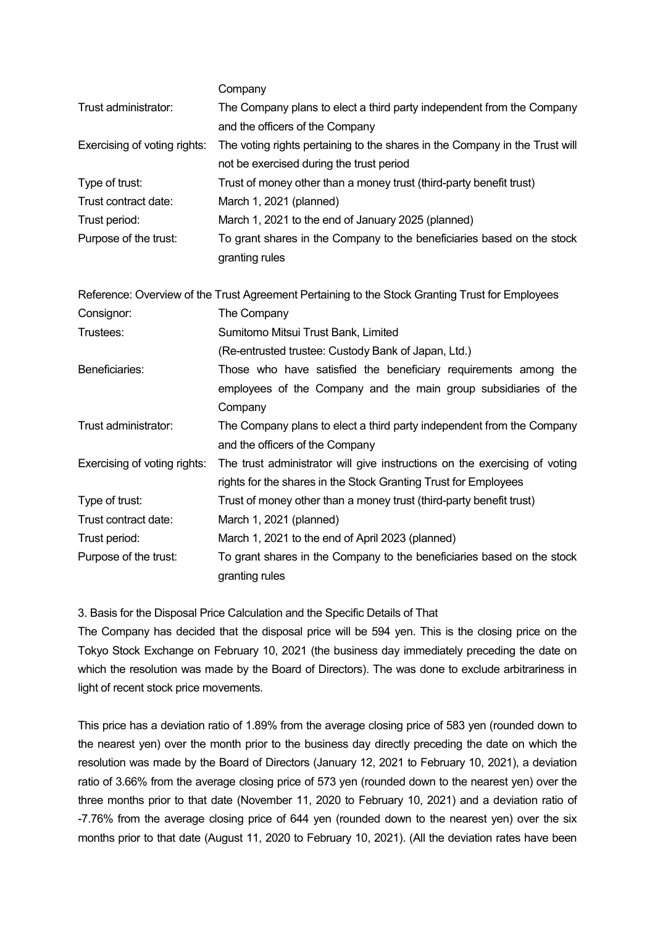|                              | Company                                                                                         |
|------------------------------|-------------------------------------------------------------------------------------------------|
| Trust administrator:         | The Company plans to elect a third party independent from the Company                           |
|                              | and the officers of the Company                                                                 |
| Exercising of voting rights: | The voting rights pertaining to the shares in the Company in the Trust will                     |
|                              | not be exercised during the trust period                                                        |
| Type of trust:               | Trust of money other than a money trust (third-party benefit trust)                             |
| Trust contract date:         | March 1, 2021 (planned)                                                                         |
| Trust period:                | March 1, 2021 to the end of January 2025 (planned)                                              |
| Purpose of the trust:        | To grant shares in the Company to the beneficiaries based on the stock                          |
|                              | granting rules                                                                                  |
|                              |                                                                                                 |
|                              | Reference: Overview of the Trust Agreement Pertaining to the Stock Granting Trust for Employees |
| Consignor:                   | The Company                                                                                     |
| Trustees:                    | Sumitomo Mitsui Trust Bank, Limited                                                             |
|                              | (Re-entrusted trustee: Custody Bank of Japan, Ltd.)                                             |
| Beneficiaries:               | Those who have satisfied the beneficiary requirements among the                                 |
|                              | employees of the Company and the main group subsidiaries of the                                 |
|                              | Company                                                                                         |
| Trust administrator:         | The Company plans to elect a third party independent from the Company                           |
|                              | and the officers of the Company                                                                 |
| Exercising of voting rights: | The trust administrator will give instructions on the exercising of voting                      |
|                              | rights for the shares in the Stock Granting Trust for Employees                                 |
| Type of trust:               | Trust of money other than a money trust (third-party benefit trust)                             |
| Trust contract date:         | March 1, 2021 (planned)                                                                         |
| Trust period:                | March 1, 2021 to the end of April 2023 (planned)                                                |
| Purpose of the trust:        | To grant shares in the Company to the beneficiaries based on the stock                          |
|                              | granting rules                                                                                  |

3. Basis for the Disposal Price Calculation and the Specific Details of That

The Company has decided that the disposal price will be 594 yen. This is the closing price on the Tokyo Stock Exchange on February 10, 2021 (the business day immediately preceding the date on which the resolution was made by the Board of Directors). The was done to exclude arbitrariness in light of recent stock price movements.

This price has a deviation ratio of 1.89% from the average closing price of 583 yen (rounded down to the nearest yen) over the month prior to the business day directly preceding the date on which the resolution was made by the Board of Directors (January 12, 2021 to February 10, 2021), a deviation ratio of 3.66% from the average closing price of 573 yen (rounded down to the nearest yen) over the three months prior to that date (November 11, 2020 to February 10, 2021) and a deviation ratio of -7.76% from the average closing price of 644 yen (rounded down to the nearest yen) over the six months prior to that date (August 11, 2020 to February 10, 2021). (All the deviation rates have been